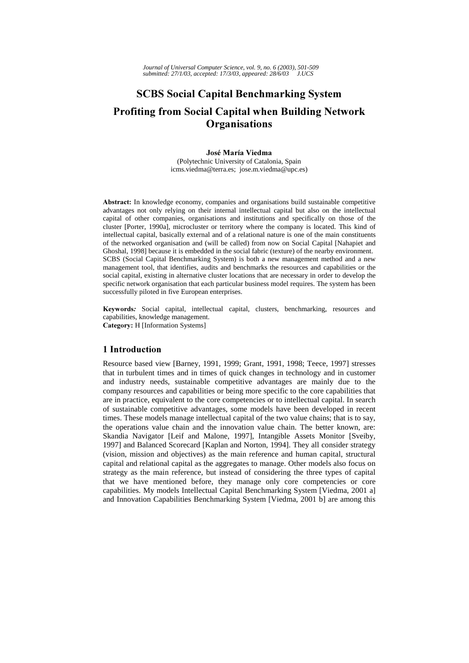# **SCBS Social Capital Benchmarking System Profiting from Social Capital when Building Network** Organisations

#### José María Viedma (Polytechnic University of Catalonia, Spain icms.viedma@terra.es; jose.m.viedma@upc.es)

Abstract: In knowledge economy, companies and organisations build sustainable competitive advantages not only relying on their internal intellectual capital but also on the intellectual capital of other companies, organisations and institutions and specifically on those of the cluster [Porter, 1990a], microcluster or territory where the company is located. This kind of intellectual capital, basically external and of a relational nature is one of the main constituents of the networked organisation and (will be called) from now on Social Capital [Nahapiet and Ghoshal, 1998] because it is embedded in the social fabric (texture) of the nearby environment. SCBS (Social Capital Benchmarking System) is both a new management method and a new management tool, that identifies, audits and benchmarks the resources and capabilities or the social capital, existing in alternative cluster locations that are necessary in order to develop the specific network organisation that each particular business model requires. The system has been successfully piloted in five European enterprises.

Keywords: Social capital, intellectual capital, clusters, benchmarking, resources and capabilities, knowledge management. Category: H [Information Systems]

## 1 Introduction

Resource based view [Barney, 1991, 1999; Grant, 1991, 1998; Teece, 1997] stresses that in turbulent times and in times of quick changes in technology and in customer and industry needs, sustainable competitive advantages are mainly due to the company resources and capabilities or being more specific to the core capabilities that are in practice, equivalent to the core competencies or to intellectual capital. In search of sustainable competitive advantages, some models have been developed in recent times. These models manage intellectual capital of the two value chains; that is to say, the operations value chain and the innovation value chain. The better known, are: Skandia Navigator [Leif and Malone, 1997], Intangible Assets Monitor [Sveiby, 1997] and Balanced Scorecard [Kaplan and Norton, 1994]. They all consider strategy (vision, mission and objectives) as the main reference and human capital, structural capital and relational capital as the aggregates to manage. Other models also focus on strategy as the main reference, but instead of considering the three types of capital that we have mentioned before, they manage only core competencies or core capabilities. My models Intellectual Capital Benchmarking System [Viedma, 2001 a] and Innovation Capabilities Benchmarking System [Viedma, 2001 b] are among this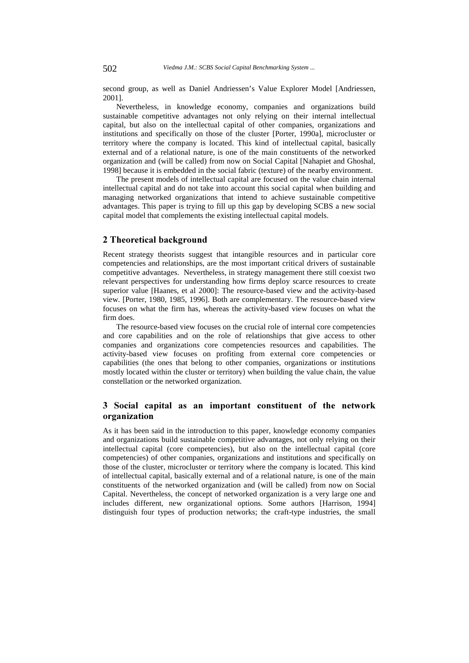second group, as well as Daniel Andriessen's Value Explorer Model [Andriessen, 2001].

Nevertheless, in knowledge economy, companies and organizations build sustainable competitive advantages not only relying on their internal intellectual capital, but also on the intellectual capital of other companies, organizations and institutions and specifically on those of the cluster [Porter, 1990a], microcluster or territory where the company is located. This kind of intellectual capital, basically external and of a relational nature, is one of the main constituents of the networked organization and (will be called) from now on Social Capital [Nahapiet and Ghoshal, 1998] because it is embedded in the social fabric (texture) of the nearby environment.

The present models of intellectual capital are focused on the value chain internal intellectual capital and do not take into account this social capital when building and managing networked organizations that intend to achieve sustainable competitive advantages. This paper is trying to fill up this gap by developing SCBS a new social capital model that complements the existing intellectual capital models.

## 2 Theoretical background

Recent strategy theorists suggest that intangible resources and in particular core competencies and relationships, are the most important critical drivers of sustainable competitive advantages. Nevertheless, in strategy management there still coexist two relevant perspectives for understanding how firms deploy scarce resources to create superior value [Haanes, et al 2000]: The resource-based view and the activity-based view. [Porter, 1980, 1985, 1996]. Both are complementary. The resource-based view focuses on what the firm has, whereas the activity-based view focuses on what the firm does.

The resource-based view focuses on the crucial role of internal core competencies and core capabilities and on the role of relationships that give access to other companies and organizations core competencies resources and capabilities. The activity-based view focuses on profiting from external core competencies or capabilities (the ones that belong to other companies, organizations or institutions mostly located within the cluster or territory) when building the value chain, the value constellation or the networked organization.

## 3 Social capital as an important constituent of the network organization

As it has been said in the introduction to this paper, knowledge economy companies and organizations build sustainable competitive advantages, not only relying on their intellectual capital (core competencies), but also on the intellectual capital (core competencies) of other companies, organizations and institutions and specifically on those of the cluster, microcluster or territory where the company is located. This kind of intellectual capital, basically external and of a relational nature, is one of the main constituents of the networked organization and (will be called) from now on Social Capital. Nevertheless, the concept of networked organization is a very large one and includes different, new organizational options. Some authors [Harrison, 1994] distinguish four types of production networks; the craft-type industries, the small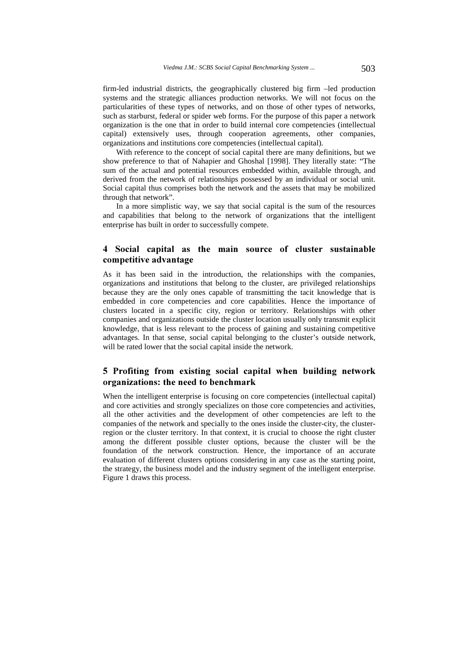firm-led industrial districts, the geographically clustered big firm –led production systems and the strategic alliances production networks. We will not focus on the particularities of these types of networks, and on those of other types of networks, such as starburst, federal or spider web forms. For the purpose of this paper a network organization is the one that in order to build internal core competencies (intellectual capital) extensively uses, through cooperation agreements, other companies, organizations and institutions core competencies (intellectual capital).

With reference to the concept of social capital there are many definitions, but we show preference to that of Nahapier and Ghoshal [1998]. They literally state: "The sum of the actual and potential resources embedded within, available through, and derived from the network of relationships possessed by an individual or social unit. Social capital thus comprises both the network and the assets that may be mobilized through that network".

In a more simplistic way, we say that social capital is the sum of the resources and capabilities that belong to the network of organizations that the intelligent enterprise has built in order to successfully compete.

## 4 Social capital as the main source of cluster sustainable competitive advantage

As it has been said in the introduction, the relationships with the companies, organizations and institutions that belong to the cluster, are privileged relationships because they are the only ones capable of transmitting the tacit knowledge that is embedded in core competencies and core capabilities. Hence the importance of clusters located in a specific city, region or territory. Relationships with other companies and organizations outside the cluster location usually only transmit explicit knowledge, that is less relevant to the process of gaining and sustaining competitive advantages. In that sense, social capital belonging to the cluster's outside network, will be rated lower that the social capital inside the network.

## 5 Profiting from existing social capital when building network organizations: the need to benchmark

When the intelligent enterprise is focusing on core competencies (intellectual capital) and core activities and strongly specializes on those core competencies and activities, all the other activities and the development of other competencies are left to the companies of the network and specially to the ones inside the cluster-city, the clusterregion or the cluster territory. In that context, it is crucial to choose the right cluster among the different possible cluster options, because the cluster will be the foundation of the network construction. Hence, the importance of an accurate evaluation of different clusters options considering in any case as the starting point, the strategy, the business model and the industry segment of the intelligent enterprise. Figure 1 draws this process.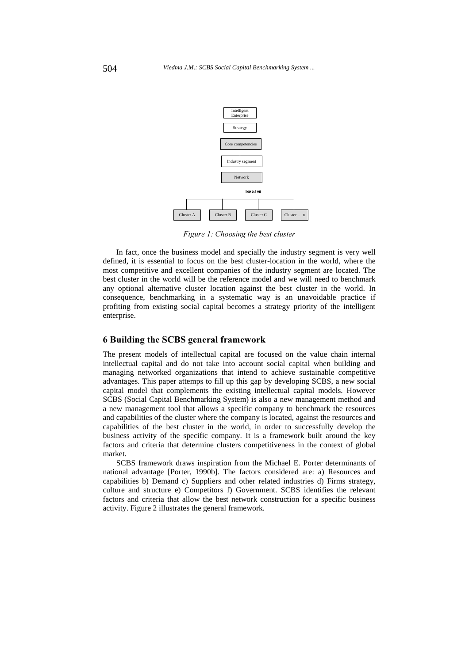

Figure 1: Choosing the best cluster

In fact, once the business model and specially the industry segment is very well defined, it is essential to focus on the best cluster-location in the world, where the most competitive and excellent companies of the industry segment are located. The best cluster in the world will be the reference model and we will need to benchmark any optional alternative cluster location against the best cluster in the world. In consequence, benchmarking in a systematic way is an unavoidable practice if profiting from existing social capital becomes a strategy priority of the intelligent enterprise.

## 6 Building the SCBS general framework

The present models of intellectual capital are focused on the value chain internal intellectual capital and do not take into account social capital when building and managing networked organizations that intend to achieve sustainable competitive advantages. This paper attemps to fill up this gap by developing SCBS, a new social capital model that complements the existing intellectual capital models. However SCBS (Social Capital Benchmarking System) is also a new management method and a new management tool that allows a specific company to benchmark the resources and capabilities of the cluster where the company is located, against the resources and capabilities of the best cluster in the world, in order to successfully develop the business activity of the specific company. It is a framework built around the key factors and criteria that determine clusters competitiveness in the context of global market.

SCBS framework draws inspiration from the Michael E. Porter determinants of national advantage [Porter, 1990b]. The factors considered are: a) Resources and capabilities b) Demand c) Suppliers and other related industries d) Firms strategy, culture and structure e) Competitors f) Government. SCBS identifies the relevant factors and criteria that allow the best network construction for a specific business activity. Figure 2 illustrates the general framework.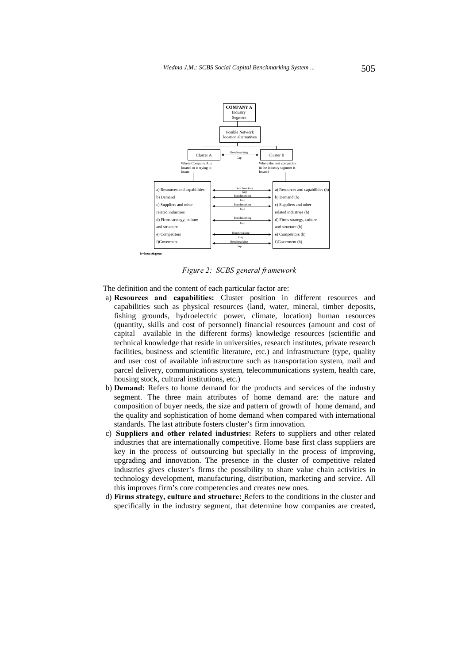

Figure 2: SCBS general framework

The definition and the content of each particular factor are:

- a) Resources and capabilities: Cluster position in different resources and capabilities such as physical resources (land, water, mineral, timber deposits, fishing grounds, hydroelectric power, climate, location) human resources (quantity, skills and cost of personnel) financial resources (amount and cost of capital available in the different forms) knowledge resources (scientific and technical knowledge that reside in universities, research institutes, private research facilities, business and scientific literature, etc.) and infrastructure (type, quality and user cost of available infrastructure such as transportation system, mail and parcel delivery, communications system, telecommunications system, health care, housing stock, cultural institutions, etc.)
- b) **Demand:** Refers to home demand for the products and services of the industry segment. The three main attributes of home demand are: the nature and composition of buyer needs, the size and pattern of growth of home demand, and the quality and sophistication of home demand when compared with international standards. The last attribute fosters cluster's firm innovation.
- c) Suppliers and other related industries: Refers to suppliers and other related industries that are internationally competitive. Home base first class suppliers are key in the process of outsourcing but specially in the process of improving, upgrading and innovation. The presence in the cluster of competitive related industries gives cluster's firms the possibility to share value chain activities in technology development, manufacturing, distribution, marketing and service. All this improves firm's core competencies and creates new ones.
- d) Firms strategy, culture and structure: Refers to the conditions in the cluster and specifically in the industry segment, that determine how companies are created,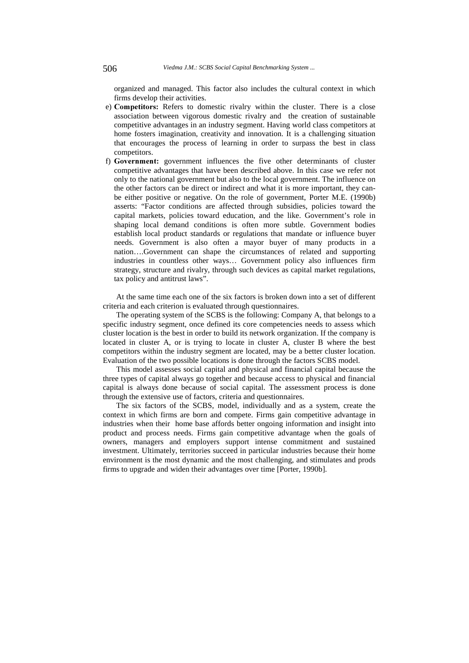organized and managed. This factor also includes the cultural context in which firms develop their activities.

- e) Competitors: Refers to domestic rivalry within the cluster. There is a close association between vigorous domestic rivalry and the creation of sustainable competitive advantages in an industry segment. Having world class competitors at home fosters imagination, creativity and innovation. It is a challenging situation that encourages the process of learning in order to surpass the best in class competitors.
- $f$ ) Government: government influences the five other determinants of cluster competitive advantages that have been described above. In this case we refer not only to the national government but also to the local government. The influence on the other factors can be direct or indirect and what it is more important, they canbe either positive or negative. On the role of government, Porter M.E. (1990b) asserts: "Factor conditions are affected through subsidies, policies toward the capital markets, policies toward education, and the like. Government's role in shaping local demand conditions is often more subtle. Government bodies establish local product standards or regulations that mandate or influence buyer needs. Government is also often a mayor buyer of many products in a nation….Government can shape the circumstances of related and supporting industries in countless other ways… Government policy also influences firm strategy, structure and rivalry, through such devices as capital market regulations, tax policy and antitrust laws".

At the same time each one of the six factors is broken down into a set of different criteria and each criterion is evaluated through questionnaires.

The operating system of the SCBS is the following: Company A, that belongs to a specific industry segment, once defined its core competencies needs to assess which cluster location is the best in order to build its network organization. If the company is located in cluster A, or is trying to locate in cluster A, cluster B where the best competitors within the industry segment are located, may be a better cluster location. Evaluation of the two possible locations is done through the factors SCBS model.

This model assesses social capital and physical and financial capital because the three types of capital always go together and because access to physical and financial capital is always done because of social capital. The assessment process is done through the extensive use of factors, criteria and questionnaires.

The six factors of the SCBS, model, individually and as a system, create the context in which firms are born and compete. Firms gain competitive advantage in industries when their home base affords better ongoing information and insight into product and process needs. Firms gain competitive advantage when the goals of owners, managers and employers support intense commitment and sustained investment. Ultimately, territories succeed in particular industries because their home environment is the most dynamic and the most challenging, and stimulates and prods firms to upgrade and widen their advantages over time [Porter, 1990b].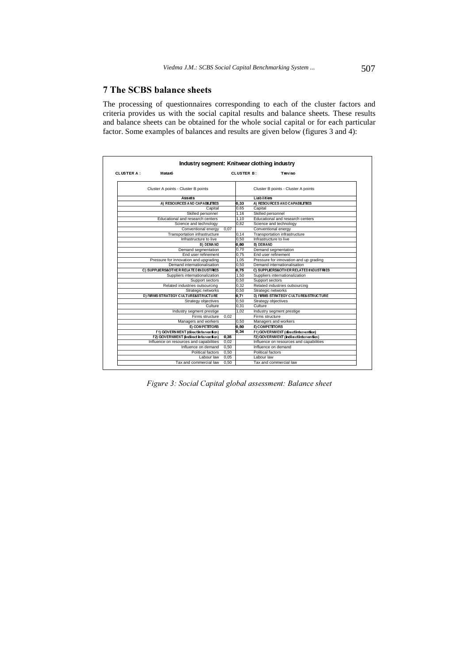## 7 The SCBS balance sheets

The processing of questionnaires corresponding to each of the cluster factors and criteria provides us with the social capital results and balance sheets. These results and balance sheets can be obtained for the whole social capital or for each particular factor. Some examples of balances and results are given below (figures 3 and 4):

| <b>CLUSTER A</b> | Mataró                                  |              | <b>CLUSTER B</b> | Treviso                                 |
|------------------|-----------------------------------------|--------------|------------------|-----------------------------------------|
|                  | Cluster A points - Cluster B points     |              |                  | Cluster B points - Cluster A points     |
|                  | Assets                                  |              |                  | Liabilities                             |
|                  | AI RESOURCES AND CAPABILITIES           |              | 0.33             | AI RESOURCES AND CAPABILITIES           |
|                  | Capital                                 |              | 0,65             | Capital                                 |
|                  | Skilled personnel                       |              | 1.16             | Skilled personnel                       |
|                  | Educational and research centers        |              | 1.10             | Educational and research centers        |
|                  | Science and technology                  |              | 0.82             | Science and technology                  |
|                  | Conventional energy                     | 0.07         |                  | Conventional energy                     |
|                  | Transportation infrastructure           |              | 0.14             | Transportation infrastructure           |
|                  | Infrastructure to live                  |              | 0.50             | Infrastructure to live                  |
|                  | <b>B) DEMAND</b>                        |              | 0.80             | <b>BI DEMAND</b>                        |
|                  | Demand segmentation                     |              | 0.70             | Demand segmentation                     |
|                  | End user refinement                     |              | 0.75             | End user refinement                     |
|                  | Pressure for innovation and upgrading   |              | 1.05             | Pressure for innovation and up grading  |
|                  | Demand internationalisation             |              | 0.50             | Demand internationalisation             |
|                  | C) SUPPLIERS& OT HER RELATED INDUSTRIES |              | 0.75             | C) SUPPLIERS& OTHER RELATED INDUSTRIES  |
|                  | Suppliers internationalization          |              | 1.50             | Suppliers internationalization          |
|                  | Support sectors                         |              | 0.50             | Support sectors                         |
|                  | Related industries outsourcing          |              | 0,32             | Related industries outsourcing          |
|                  | Strategic networks                      |              | 0.50             | Strategic networks                      |
|                  | D) FIRMS STRATEGY CULTURE&STRUCTURE     |              | 0.71             | D) FIRMS STRATEGY CULTURE& STRUCTURE    |
|                  | Strategy objectives                     |              | 0.50             | Strategy objectives                     |
|                  | Culture                                 |              | 0.31             | Culture                                 |
|                  | Industry segment prestige               |              | 1.02             | Industry segment prestige               |
|                  | Firms structure                         | 0.02         |                  | Firms structure                         |
|                  | Managers and workers                    |              | 0.50             | Managers and workers                    |
|                  | E) COMPETITORS                          |              | 0.50             | E) COMPETIT ORS                         |
|                  | F1) GOVERNMENT (direct intervention)    |              | 0.34             | F1) GOVERNMENT (direct intervention)    |
|                  | F2) GOVERNMENT (indirect intervention)  | 0.35         |                  | F2) GOVERNMENT (indirect intervention)  |
|                  | Influence on resources and capabilities | 0.02         |                  | Influence on resources and capabilities |
|                  | Influence on demand                     | 0.50         |                  | Influence on demand                     |
|                  | Political factors                       | 0.50         |                  | Political factors                       |
|                  | Labour law<br>Tax and commercial law    | 0.05<br>0.50 |                  | Labour law<br>Tax and commercial law    |

Figure 3: Social Capital global assessment: Balance sheet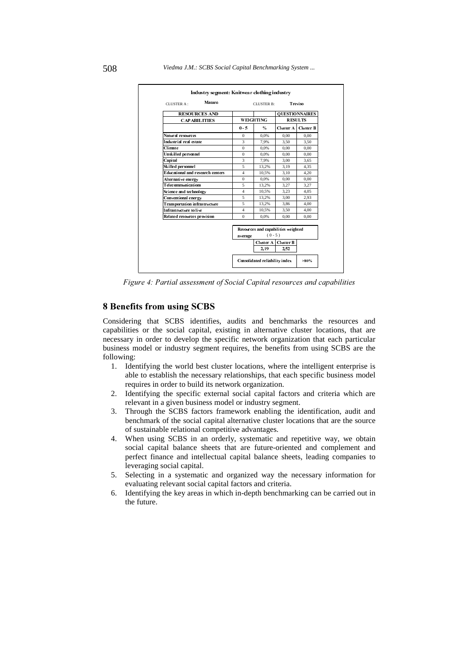| Mataró<br><b>CLUSTER A:</b>      | Treviso<br><b>CLUSTER B:</b>                               |                   |                       |           |  |  |
|----------------------------------|------------------------------------------------------------|-------------------|-----------------------|-----------|--|--|
| <b>RESOURCES AND</b>             |                                                            |                   | <b>QUESTIONNAIRES</b> |           |  |  |
| <b>CAPABILITIES</b>              |                                                            | <b>WEIGHTING</b>  | <b>RESULTS</b>        |           |  |  |
|                                  | $0 - 5$                                                    | $\frac{0}{n}$     | Cluster A             | Cluster B |  |  |
| Natural resources                | $\Omega$                                                   | 0.0%              | 0.00                  | 0.00      |  |  |
| Industrial real estate           | 3                                                          | 7,9%              | 3.50                  | 3,50      |  |  |
| Climate                          | $\Omega$                                                   | 0,0%              | 0.00                  | 0.00      |  |  |
| Unskilled personnel              | $\mathbf{0}$                                               | 0,0%              | 0,00                  | 0,00      |  |  |
| Capital                          | 3                                                          | 7.9%              | 3.00                  | 3.65      |  |  |
| Skilled personnel                | 5                                                          | 13,2%             | 3.19                  | 4.35      |  |  |
| Educational and research centers | $\overline{4}$                                             | 10,5%             | 3.10                  | 4.20      |  |  |
| Al te rnative energy             | $\mathbf{0}$                                               | 0.0%              | 0.00                  | 0.00      |  |  |
| Tele communications              | 5                                                          | 13,2%             | 3.27                  | 3.27      |  |  |
| Science and technology           | $\overline{4}$                                             | 10,5%             | 3,23                  | 4.05      |  |  |
| Conventional energy              | 5                                                          | 13,2%             | 3,00                  | 2.93      |  |  |
| Transportation infrastructure    | 5                                                          | 13.2%             | 3.86                  | 4.00      |  |  |
| <b>Infrastructure to live</b>    | $\overline{4}$                                             | 10,5%             | 3,50                  | 4,00      |  |  |
| Related resources provision      | $\Omega$                                                   | 0.0%              | 0,00                  | 0,00      |  |  |
|                                  | Resources and capabilities weighted<br>$(0-5)$<br>ave rage |                   |                       |           |  |  |
|                                  |                                                            | Cluster A<br>2.19 | Cluster B<br>2.52     |           |  |  |

Figure 4: Partial assessment of Social Capital resources and capabilities

## 8 Benefits from using SCBS

Considering that SCBS identifies, audits and benchmarks the resources and capabilities or the social capital, existing in alternative cluster locations, that are necessary in order to develop the specific network organization that each particular business model or industry segment requires, the benefits from using SCBS are the following:

- 1. Identifying the world best cluster locations, where the intelligent enterprise is able to establish the necessary relationships, that each specific business model requires in order to build its network organization.
- 2. Identifying the specific external social capital factors and criteria which are relevant in a given business model or industry segment.
- 3. Through the SCBS factors framework enabling the identification, audit and benchmark of the social capital alternative cluster locations that are the source of sustainable relational competitive advantages.
- 4. When using SCBS in an orderly, systematic and repetitive way, we obtain social capital balance sheets that are future-oriented and complement and perfect finance and intellectual capital balance sheets, leading companies to leveraging social capital.
- 5. Selecting in a systematic and organized way the necessary information for evaluating relevant social capital factors and criteria.
- 6. Identifying the key areas in which in-depth benchmarking can be carried out in the future.